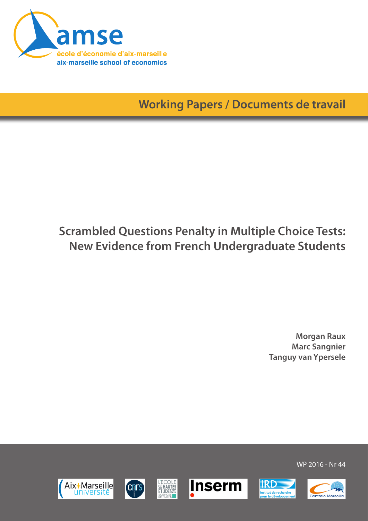

**Working Papers / Documents de travail**

# **Scrambled Questions Penalty in Multiple Choice Tests: New Evidence from French Undergraduate Students**

**Morgan Raux Marc Sangnier Tanguy van Ypersele**

Aix\*Marseille universite











WP 2016 - Nr 44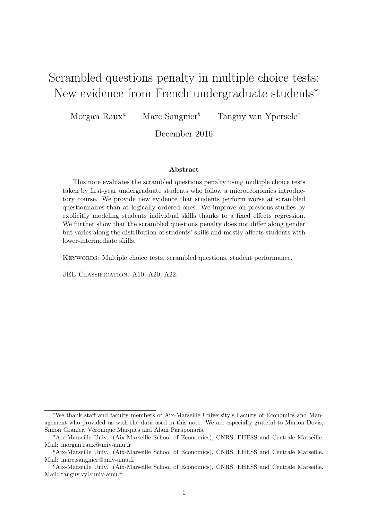## Scrambled questions penalty in multiple choice tests: New evidence from French undergraduate students<sup>\*</sup>

Morgan Raux<sup>a</sup> Marc Sangnier<sup>b</sup> Tanguy van Ypersele<sup>c</sup>

December 2016

#### Abstract

This note evaluates the scrambled questions penalty using multiple choice tests taken by first-year undergraduate students who follow a microeconomics introductory course. We provide new evidence that students perform worse at scrambled questionnaires than at logically ordered ones. We improve on previous studies by explicitly modeling students individual skills thanks to a fixed effects regression. We further show that the scrambled questions penalty does not differ along gender but varies along the distribution of students' skills and mostly affects students with lower-intermediate skills.

Keywords: Multiple choice tests, scrambled questions, student performance.

JEL CLASSIFICATION: A10, A20, A22.

<sup>∗</sup>We thank staff and faculty members of Aix-Marseille University's Faculty of Economics and Management who provided us with the data used in this note. We are especially grateful to Marion Dovis, Simon Granier, Véronique Marques and Alain Paraponaris.

<sup>a</sup>Aix-Marseille Univ. (Aix-Marseille School of Economics), CNRS, EHESS and Centrale Marseille. Mail: morgan.raux@univ-amu.fr

<sup>b</sup>Aix-Marseille Univ. (Aix-Marseille School of Economics), CNRS, EHESS and Centrale Marseille. Mail: marc.sangnier@univ-amu.fr

<sup>c</sup>Aix-Marseille Univ. (Aix-Marseille School of Economics), CNRS, EHESS and Centrale Marseille. Mail: tanguy.vy@univ-amu.fr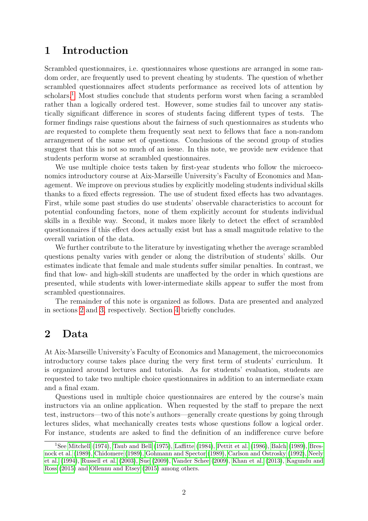#### 1 Introduction

Scrambled questionnaires, i.e. questionnaires whose questions are arranged in some random order, are frequently used to prevent cheating by students. The question of whether scrambled questionnaires affect students performance as received lots of attention by scholars.<sup>[1](#page-2-0)</sup> Most studies conclude that students perform worst when facing a scrambled rather than a logically ordered test. However, some studies fail to uncover any statistically significant difference in scores of students facing different types of tests. The former findings raise questions about the fairness of such questionnaires as students who are requested to complete them frequently seat next to fellows that face a non-random arrangement of the same set of questions. Conclusions of the second group of studies suggest that this is not so much of an issue. In this note, we provide new evidence that students perform worse at scrambled questionnaires.

We use multiple choice tests taken by first-year students who follow the microeconomics introductory course at Aix-Marseille University's Faculty of Economics and Management. We improve on previous studies by explicitly modeling students individual skills thanks to a fixed effects regression. The use of student fixed effects has two advantages. First, while some past studies do use students' observable characteristics to account for potential confounding factors, none of them explicitly account for students individual skills in a flexible way. Second, it makes more likely to detect the effect of scrambled questionnaires if this effect does actually exist but has a small magnitude relative to the overall variation of the data.

We further contribute to the literature by investigating whether the average scrambled questions penalty varies with gender or along the distribution of students' skills. Our estimates indicate that female and male students suffer similar penalties. In contrast, we find that low- and high-skill students are unaffected by the order in which questions are presented, while students with lower-intermediate skills appear to suffer the most from scrambled questionnaires.

The remainder of this note is organized as follows. Data are presented and analyzed in sections [2](#page-2-1) and [3,](#page-3-0) respectively. Section [4](#page-5-0) briefly concludes.

#### <span id="page-2-1"></span>2 Data

At Aix-Marseille University's Faculty of Economics and Management, the microeconomics introductory course takes place during the very first term of students' curriculum. It is organized around lectures and tutorials. As for students' evaluation, students are requested to take two multiple choice questionnaires in addition to an intermediate exam and a final exam.

Questions used in multiple choice questionnaires are entered by the course's main instructors via an online application. When requested by the staff to prepare the next test, instructors—two of this note's authors—generally create questions by going through lectures slides, what mechanically creates tests whose questions follow a logical order. For instance, students are asked to find the definition of an indifference curve before

<span id="page-2-0"></span><sup>&</sup>lt;sup>1</sup>See [Mitchell](#page-6-0) [\(1974\)](#page-6-0), [Taub and Bell](#page-6-1) [\(1975\)](#page-6-1), [Laffitte](#page-6-2) [\(1984\)](#page-6-2), [Pettit et al.](#page-6-3) [\(1986\)](#page-6-3), [Balch](#page-5-1) [\(1989\)](#page-5-1), [Bres](#page-5-2)[nock et al.](#page-5-2) [\(1989\)](#page-5-2), [Chidomere](#page-5-3) [\(1989\)](#page-5-3), [Gohmann and Spector](#page-5-4) [\(1989\)](#page-5-4), [Carlson and Ostrosky](#page-5-5) [\(1992\)](#page-5-5), [Neely](#page-6-4) [et al.](#page-6-4) [\(1994\)](#page-6-4), [Russell et al.](#page-6-5) [\(2003\)](#page-6-5), [Sue](#page-6-6) [\(2009\)](#page-6-6), [Vander Schee](#page-6-7) [\(2009\)](#page-6-7), [Khan et al.](#page-6-8) [\(2013\)](#page-6-8), [Kagundu and](#page-6-9) [Ross](#page-6-9) [\(2015\)](#page-6-9) and [Ollennu and Etsey](#page-6-10) [\(2015\)](#page-6-10) among others.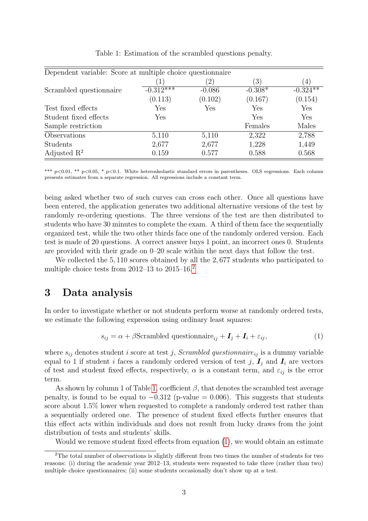| Dependent variable: Score at multiple choice questionnaire |             |               |           |                  |
|------------------------------------------------------------|-------------|---------------|-----------|------------------|
|                                                            |             | $^{\prime}2)$ | (3)       | $\left(4\right)$ |
| Scrambled questionnaire                                    | $-0.312***$ | $-0.086$      | $-0.308*$ | $-0.324$ **      |
|                                                            | (0.113)     | (0.102)       | (0.167)   | (0.154)          |
| Test fixed effects                                         | Yes         | Yes           | Yes       | Yes              |
| Student fixed effects                                      | Yes         |               | Yes       | Yes              |
| Sample restriction                                         |             |               | Females   | Males            |
| Observations                                               | 5,110       | 5,110         | 2,322     | 2,788            |
| <b>Students</b>                                            | 2,677       | 2,677         | 1,228     | 1,449            |
| Adjusted $\mathbb{R}^2$                                    | 0.159       | 0.577         | 0.588     | 0.568            |

<span id="page-3-2"></span>Table 1: Estimation of the scrambled questions penalty.

\*\*\* p<0.01, \*\* p<0.05, \* p<0.1. White heteroskedastic standard errors in parentheses. OLS regressions. Each column presents estimates from a separate regression. All regressions include a constant term.

being asked whether two of such curves can cross each other. Once all questions have been entered, the application generates two additional alternative versions of the test by randomly re-ordering questions. The three versions of the test are then distributed to students who have 30 minutes to complete the exam. A third of them face the sequentially organized test, while the two other thirds face one of the randomly ordered version. Each test is made of 20 questions. A correct answer buys 1 point, an incorrect ones 0. Students are provided with their grade on 0–20 scale within the next days that follow the test.

We collected the 5,110 scores obtained by all the 2,677 students who participated to multiple choice tests from  $2012-13$  $2012-13$  to  $2015-16.<sup>2</sup>$ 

#### <span id="page-3-0"></span>3 Data analysis

In order to investigate whether or not students perform worse at randomly ordered tests, we estimate the following expression using ordinary least squares:

<span id="page-3-3"></span>
$$
s_{ij} = \alpha + \beta \text{Scrambled questionnaire}_{ij} + \mathbf{I}_j + \mathbf{I}_i + \varepsilon_{ij},\tag{1}
$$

where  $s_{ij}$  denotes student i score at test j, Scrambled questionnaire<sub>ij</sub> is a dummy variable equal to 1 if student i faces a randomly ordered version of test j,  $I_j$  and  $I_i$  are vectors of test and student fixed effects, respectively,  $\alpha$  is a constant term, and  $\varepsilon_{ij}$  is the error term.

As shown by column 1 of Table [1,](#page-3-2) coefficient  $\beta$ , that denotes the scrambled test average penalty, is found to be equal to  $-0.312$  (p-value = 0.006). This suggests that students score about 1.5% lower when requested to complete a randomly ordered test rather than a sequentially ordered one. The presence of student fixed effects further ensures that this effect acts within individuals and does not result from lucky draws from the joint distribution of tests and students' skills.

<span id="page-3-1"></span>Would we remove student fixed effects from equation [\(1\)](#page-3-3), we would obtain an estimate

<sup>2</sup>The total number of observations is slightly different from two times the number of students for two reasons: (i) during the academic year 2012–13, students were requested to take three (rather than two) multiple choice questionnaires; (ii) some students occasionally don't show up at a test.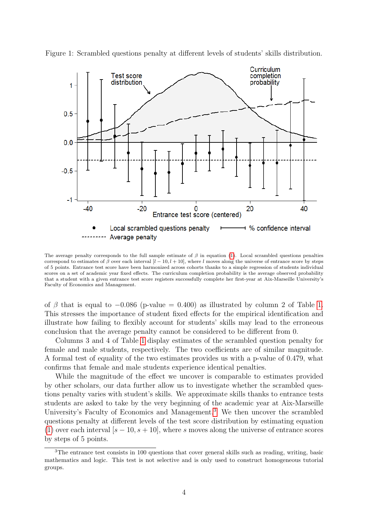<span id="page-4-1"></span>

Figure 1: Scrambled questions penalty at different levels of students' skills distribution.

The average penalty corresponds to the full sample estimate of  $\beta$  in equation [\(1\)](#page-3-3). Local scrambled questions penalties correspond to estimates of  $\beta$  over each interval  $[l - 10, l + 10]$ , where l moves along the universe of entrance score by steps of 5 points. Entrance test score have been harmonized across cohorts thanks to a simple regression of students individual scores on a set of academic year fixed effects. The curriculum completion probability is the average observed probability that a student with a given entrance test score registers successfully complete her first-year at Aix-Marseille University's Faculty of Economics and Management.

of  $\beta$  that is equal to  $-0.086$  (p-value = 0.400) as illustrated by column 2 of Table [1.](#page-3-2) This stresses the importance of student fixed effects for the empirical identification and illustrate how failing to flexibly account for students' skills may lead to the erroneous conclusion that the average penalty cannot be considered to be different from 0.

Columns 3 and 4 of Table [1](#page-3-2) display estimates of the scrambled question penalty for female and male students, respectively. The two coefficients are of similar magnitude. A formal test of equality of the two estimates provides us with a p-value of 0.479, what confirms that female and male students experience identical penalties.

While the magnitude of the effect we uncover is comparable to estimates provided by other scholars, our data further allow us to investigate whether the scrambled questions penalty varies with student's skills. We approximate skills thanks to entrance tests students are asked to take by the very beginning of the academic year at Aix-Marseille University's Faculty of Economics and Management.<sup>[3](#page-4-0)</sup> We then uncover the scrambled questions penalty at different levels of the test score distribution by estimating equation [\(1\)](#page-3-3) over each interval  $[s - 10, s + 10]$ , where s moves along the universe of entrance scores by steps of 5 points.

<span id="page-4-0"></span><sup>3</sup>The entrance test consists in 100 questions that cover general skills such as reading, writing, basic mathematics and logic. This test is not selective and is only used to construct homogeneous tutorial groups.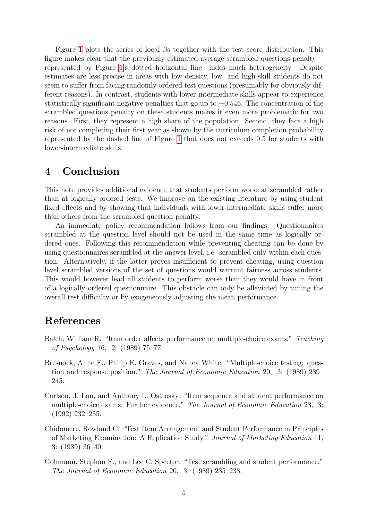Figure [1](#page-4-1) plots the series of local  $\beta$ s together with the test score distribution. This figure makes clear that the previously estimated average scrambled questions penalty represented by Figure [1'](#page-4-1)s dotted horizontal line—hides much heterogeneity. Despite estimates are less precise in areas with low density, low- and high-skill students do not seem to suffer from facing randomly ordered test questions (presumably for obviously different reasons). In contrast, students with lower-intermediate skills appear to experience statistically significant negative penalties that go up to −0.546. The concentration of the scrambled questions penalty on these students makes it even more problematic for two reasons. First, they represent a high share of the population. Second, they face a high risk of not completing their first year as shown by the curriculum completion probability represented by the dashed line of Figure [1](#page-4-1) that does not exceeds 0.5 for students with lower-intermediate skills.

### <span id="page-5-0"></span>4 Conclusion

This note provides additional evidence that students perform worse at scrambled rather than at logically ordered tests. We improve on the existing literature by using student fixed effects and by showing that individuals with lower-intermediate skills suffer more than others from the scrambled question penalty.

An immediate policy recommendation follows from our findings. Questionnaires scrambled at the question level should not be used in the same time as logically ordered ones. Following this recommendation while preventing cheating can be done by using questionnaires scrambled at the answer level, i.e. scrambled only within each question. Alternatively, if the latter proves insufficient to prevent cheating, using question level scrambled versions of the set of questions would warrant fairness across students. This would however lead all students to perform worse than they would have in front of a logically ordered questionnaire. This obstacle can only be alleviated by tuning the overall test difficulty or by exogeneously adjusting the mean performance.

### References

- <span id="page-5-1"></span>Balch, William R. "Item order affects performance on multiple-choice exams." Teaching of Psychology 16, 2: (1989) 75–77.
- <span id="page-5-2"></span>Bresnock, Anne E., Philip E. Graves, and Nancy White. "Multiple-choice testing: question and response position." The Journal of Economic Education 20, 3: (1989) 239– 245.
- <span id="page-5-5"></span>Carlson, J. Lon, and Anthony L. Ostrosky. "Item sequence and student performance on multiple-choice exams: Further evidence." The Journal of Economic Education 23, 3: (1992) 232–235.
- <span id="page-5-3"></span>Chidomere, Rowland C. "Test Item Arrangement and Student Performance in Principles of Marketing Examination: A Replication Study." Journal of Marketing Education 11, 3: (1989) 36–40.
- <span id="page-5-4"></span>Gohmann, Stephan F., and Lee C. Spector. "Test scrambling and student performance." The Journal of Economic Education 20, 3: (1989) 235–238.